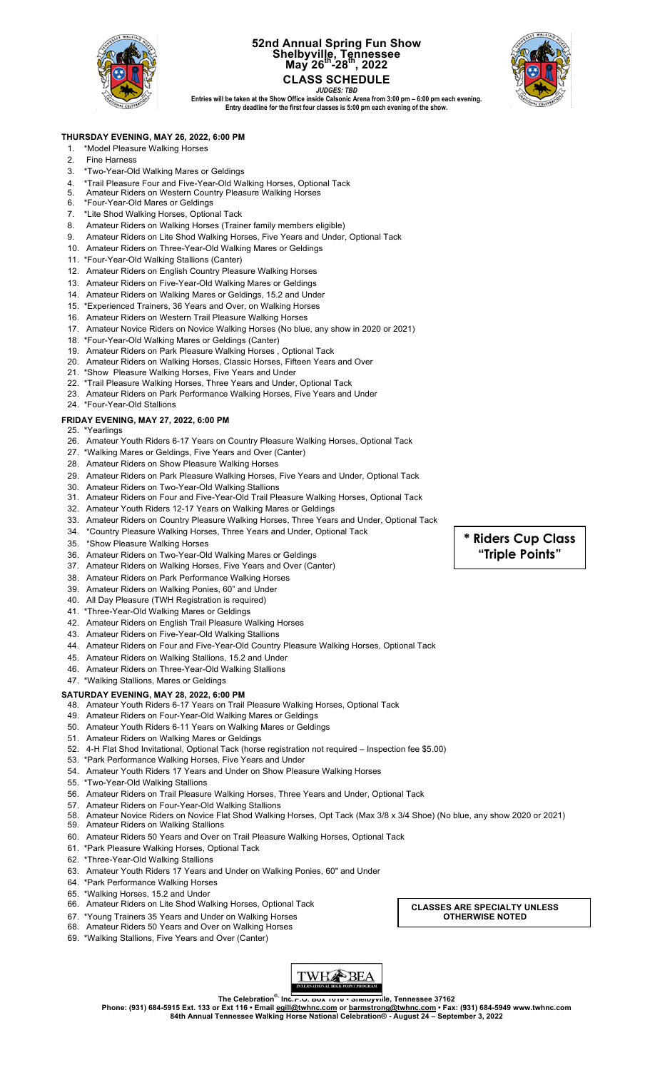

### **52nd Annual Spring Fun Show Shelbyville, Tennessee May 26th-28th, 2022 CLASS SCHEDULE**



*JUDGES: TBD* **Entries will be taken at the Show Office inside Calsonic Arena from 3:00 pm – 6:00 pm each evening. Entry deadline for the first four classes is 5:00 pm each evening of the show.** 

### **THURSDAY EVENING, MAY 26, 2022, 6:00 PM**

- 1. \*Model Pleasure Walking Horses
- 2. Fine Harness
- 3. \*Two-Year-Old Walking Mares or Geldings
- 4. \*Trail Pleasure Four and Five-Year-Old Walking Horses, Optional Tack
- 5. Amateur Riders on Western Country Pleasure Walking Horses<br>6. \*Four-Year-Old Mares or Geldings
- \*Four-Year-Old Mares or Geldings
- 7. \*Lite Shod Walking Horses, Optional Tack
- 8. Amateur Riders on Walking Horses (Trainer family members eligible)
- 9. Amateur Riders on Lite Shod Walking Horses, Five Years and Under, Optional Tack
- 10. Amateur Riders on Three-Year-Old Walking Mares or Geldings
- 11. \*Four-Year-Old Walking Stallions (Canter)
- 12. Amateur Riders on English Country Pleasure Walking Horses
- 13. Amateur Riders on Five-Year-Old Walking Mares or Geldings
- 14. Amateur Riders on Walking Mares or Geldings, 15.2 and Under
- 15. \*Experienced Trainers, 36 Years and Over, on Walking Horses
- 16. Amateur Riders on Western Trail Pleasure Walking Horses
- 17. Amateur Novice Riders on Novice Walking Horses (No blue, any show in 2020 or 2021)
- 18. \*Four-Year-Old Walking Mares or Geldings (Canter)
- 19. Amateur Riders on Park Pleasure Walking Horses , Optional Tack
- 20. Amateur Riders on Walking Horses, Classic Horses, Fifteen Years and Over
- 21. \*Show Pleasure Walking Horses, Five Years and Under
- 22. \*Trail Pleasure Walking Horses, Three Years and Under, Optional Tack
- 23. Amateur Riders on Park Performance Walking Horses, Five Years and Under
- 24. \*Four-Year-Old Stallions

#### **FRIDAY EVENING, MAY 27, 2022, 6:00 PM**

- 25. \*Yearlings
- 26. Amateur Youth Riders 6-17 Years on Country Pleasure Walking Horses, Optional Tack
- 27. \*Walking Mares or Geldings, Five Years and Over (Canter)
- 28. Amateur Riders on Show Pleasure Walking Horses
- 29. Amateur Riders on Park Pleasure Walking Horses, Five Years and Under, Optional Tack
- 30. Amateur Riders on Two-Year-Old Walking Stallions
- 31. Amateur Riders on Four and Five-Year-Old Trail Pleasure Walking Horses, Optional Tack
- 32. Amateur Youth Riders 12-17 Years on Walking Mares or Geldings
- 33. Amateur Riders on Country Pleasure Walking Horses, Three Years and Under, Optional Tack
- 34. \*Country Pleasure Walking Horses, Three Years and Under, Optional Tack
- 35. \*Show Pleasure Walking Horses
- 36. Amateur Riders on Two-Year-Old Walking Mares or Geldings
- 37. Amateur Riders on Walking Horses, Five Years and Over (Canter)
- 38. Amateur Riders on Park Performance Walking Horses
- 39. Amateur Riders on Walking Ponies, 60" and Under
- 40. All Day Pleasure (TWH Registration is required)
- 41. \*Three-Year-Old Walking Mares or Geldings
- 42. Amateur Riders on English Trail Pleasure Walking Horses
- 43. Amateur Riders on Five-Year-Old Walking Stallions
- 44. Amateur Riders on Four and Five-Year-Old Country Pleasure Walking Horses, Optional Tack
- 45. Amateur Riders on Walking Stallions, 15.2 and Under
- 46. Amateur Riders on Three-Year-Old Walking Stallions
- 47. \*Walking Stallions, Mares or Geldings

**SATURDAY EVENING, MAY 28, 2022, 6:00 PM**

- 48. Amateur Youth Riders 6-17 Years on Trail Pleasure Walking Horses, Optional Tack
- 49. Amateur Riders on Four-Year-Old Walking Mares or Geldings
- 50. Amateur Youth Riders 6-11 Years on Walking Mares or Geldings
- 51. Amateur Riders on Walking Mares or Geldings
- 52. 4-H Flat Shod Invitational, Optional Tack (horse registration not required Inspection fee \$5.00)
- 53. \*Park Performance Walking Horses, Five Years and Under
- 54. Amateur Youth Riders 17 Years and Under on Show Pleasure Walking Horses
- 55. \*Two-Year-Old Walking Stallions
- 56. Amateur Riders on Trail Pleasure Walking Horses, Three Years and Under, Optional Tack
- 57. Amateur Riders on Four-Year-Old Walking Stallions
- 58. Amateur Novice Riders on Novice Flat Shod Walking Horses, Opt Tack (Max 3/8 x 3/4 Shoe) (No blue, any show 2020 or 2021)
- 59. Amateur Riders on Walking Stallions
- 60. Amateur Riders 50 Years and Over on Trail Pleasure Walking Horses, Optional Tack
- 61. \*Park Pleasure Walking Horses, Optional Tack
- 62. \*Three-Year-Old Walking Stallions
- 63. Amateur Youth Riders 17 Years and Under on Walking Ponies, 60" and Under
- 64. \*Park Performance Walking Horses
- 65. \*Walking Horses, 15.2 and Under
- 66. Amateur Riders on Lite Shod Walking Horses, Optional Tack
- 67. \*Young Trainers 35 Years and Under on Walking Horses
- 68. Amateur Riders 50 Years and Over on Walking Horses
- 69. \*Walking Stallions, Five Years and Over (Canter)



**The Celebration®, Inc.P.O. Box 1010 • Shelbyville, Tennessee 37162** Phone: (931) 684-5915 Ext. 133 or Ext 116 • Email <u>egill@twhnc.com</u> or <u>barmstrong@twhnc.com</u> • Fax: (931) 684-5949 www.twhnc.com<br>84th Annual Tennessee Walking Horse National Celebration® - August 24 – September 3, 2022

**\* Riders Cup Class "Triple Points"**

**CLASSES ARE SPECIALTY UNLESS**

**OTHERWISE NOTED**